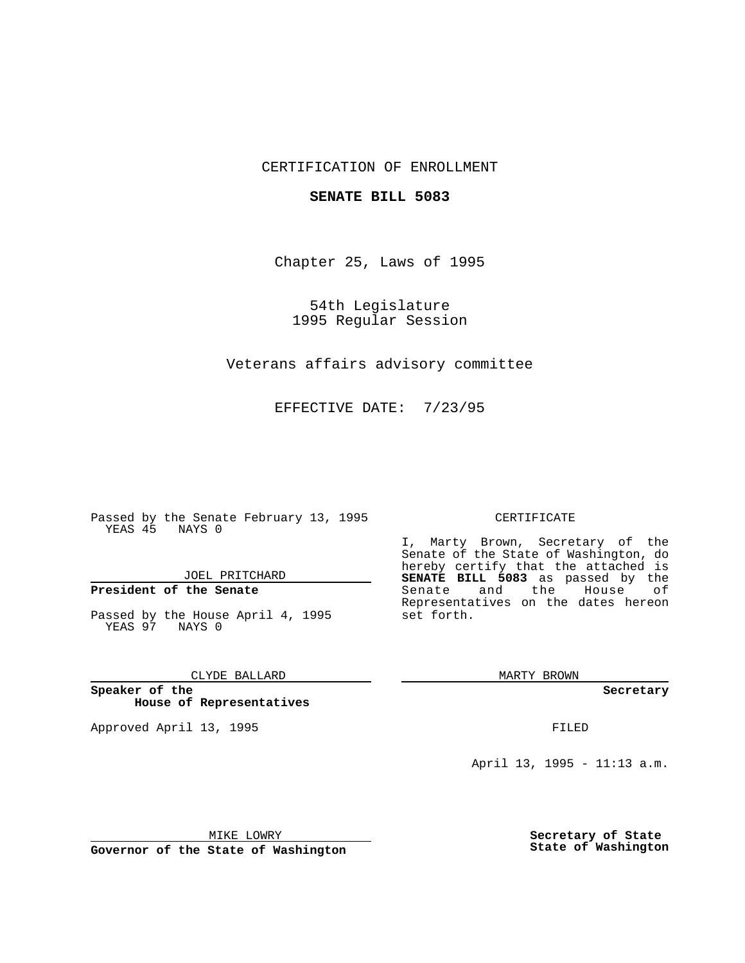## CERTIFICATION OF ENROLLMENT

### **SENATE BILL 5083**

Chapter 25, Laws of 1995

54th Legislature 1995 Regular Session

Veterans affairs advisory committee

EFFECTIVE DATE: 7/23/95

Passed by the Senate February 13, 1995 YEAS 45 NAYS 0

JOEL PRITCHARD

# **President of the Senate**

Passed by the House April 4, 1995 YEAS 97 NAYS 0

CLYDE BALLARD

**Speaker of the House of Representatives**

Approved April 13, 1995 FILED

#### CERTIFICATE

I, Marty Brown, Secretary of the Senate of the State of Washington, do hereby certify that the attached is **SENATE BILL 5083** as passed by the Senate and the House of Representatives on the dates hereon set forth.

MARTY BROWN

**Secretary**

April 13, 1995 - 11:13 a.m.

MIKE LOWRY

**Governor of the State of Washington**

**Secretary of State State of Washington**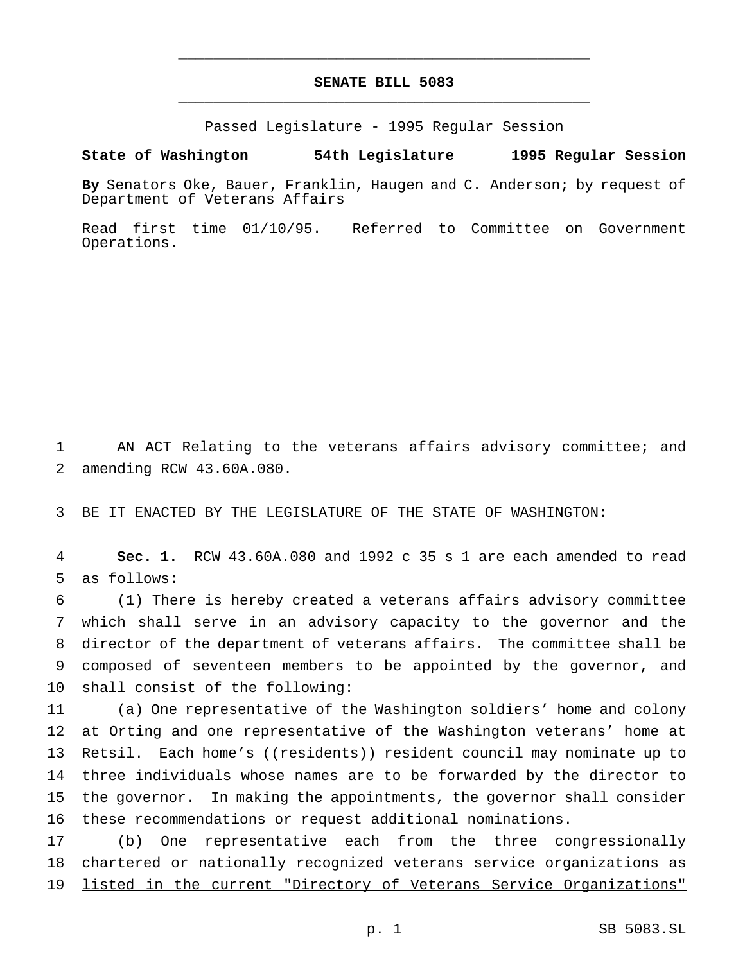## **SENATE BILL 5083** \_\_\_\_\_\_\_\_\_\_\_\_\_\_\_\_\_\_\_\_\_\_\_\_\_\_\_\_\_\_\_\_\_\_\_\_\_\_\_\_\_\_\_\_\_\_\_

\_\_\_\_\_\_\_\_\_\_\_\_\_\_\_\_\_\_\_\_\_\_\_\_\_\_\_\_\_\_\_\_\_\_\_\_\_\_\_\_\_\_\_\_\_\_\_

Passed Legislature - 1995 Regular Session

### **State of Washington 54th Legislature 1995 Regular Session**

**By** Senators Oke, Bauer, Franklin, Haugen and C. Anderson; by request of Department of Veterans Affairs

Read first time 01/10/95. Referred to Committee on Government Operations.

1 AN ACT Relating to the veterans affairs advisory committee; and 2 amending RCW 43.60A.080.

3 BE IT ENACTED BY THE LEGISLATURE OF THE STATE OF WASHINGTON:

4 **Sec. 1.** RCW 43.60A.080 and 1992 c 35 s 1 are each amended to read 5 as follows:

 (1) There is hereby created a veterans affairs advisory committee which shall serve in an advisory capacity to the governor and the director of the department of veterans affairs. The committee shall be composed of seventeen members to be appointed by the governor, and shall consist of the following:

 (a) One representative of the Washington soldiers' home and colony at Orting and one representative of the Washington veterans' home at 13 Retsil. Each home's ((residents)) resident council may nominate up to three individuals whose names are to be forwarded by the director to the governor. In making the appointments, the governor shall consider these recommendations or request additional nominations.

17 (b) One representative each from the three congressionally 18 chartered or nationally recognized veterans service organizations as 19 listed in the current "Directory of Veterans Service Organizations"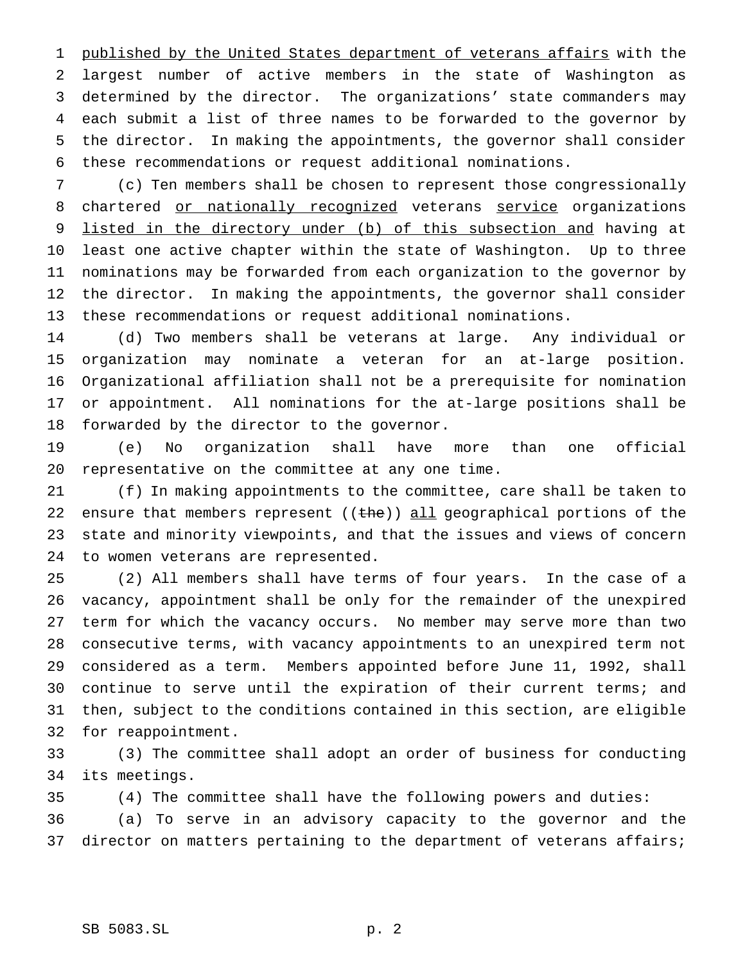1 published by the United States department of veterans affairs with the largest number of active members in the state of Washington as determined by the director. The organizations' state commanders may each submit a list of three names to be forwarded to the governor by the director. In making the appointments, the governor shall consider these recommendations or request additional nominations.

 (c) Ten members shall be chosen to represent those congressionally 8 chartered or nationally recognized veterans service organizations listed in the directory under (b) of this subsection and having at least one active chapter within the state of Washington. Up to three nominations may be forwarded from each organization to the governor by the director. In making the appointments, the governor shall consider these recommendations or request additional nominations.

 (d) Two members shall be veterans at large. Any individual or organization may nominate a veteran for an at-large position. Organizational affiliation shall not be a prerequisite for nomination or appointment. All nominations for the at-large positions shall be forwarded by the director to the governor.

 (e) No organization shall have more than one official representative on the committee at any one time.

 (f) In making appointments to the committee, care shall be taken to 22 ensure that members represent ((the)) all geographical portions of the state and minority viewpoints, and that the issues and views of concern to women veterans are represented.

 (2) All members shall have terms of four years. In the case of a vacancy, appointment shall be only for the remainder of the unexpired term for which the vacancy occurs. No member may serve more than two consecutive terms, with vacancy appointments to an unexpired term not considered as a term. Members appointed before June 11, 1992, shall continue to serve until the expiration of their current terms; and then, subject to the conditions contained in this section, are eligible for reappointment.

 (3) The committee shall adopt an order of business for conducting its meetings.

 (4) The committee shall have the following powers and duties: (a) To serve in an advisory capacity to the governor and the 37 director on matters pertaining to the department of veterans affairs;